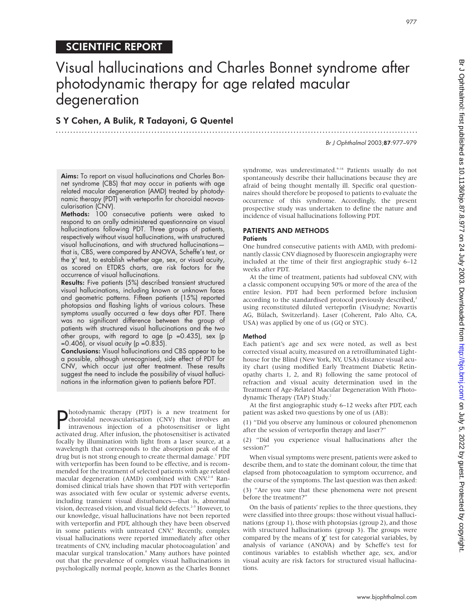# Visual hallucinations and Charles Bonnet syndrome after photodynamic therapy for age related macular degeneration

.............................................................................................................................

## S Y Cohen, A Bulik, R Tadayoni, G Quentel

SCIENTIFIC REPORT

Br J Ophthalmol 2003;87:977–979

Aims: To report on visual hallucinations and Charles Bonnet syndrome (CBS) that may occur in patients with age related macular degeneration (AMD) treated by photodynamic therapy (PDT) with verteporfin for choroidal neovascularisation (CNV).

Methods: 100 consecutive patients were asked to respond to an orally administered questionnaire on visual hallucinations following PDT. Three groups of patients, respectively without visual hallucinations, with unstructured visual hallucinations, and with structured hallucinations that is, CBS, were compared by ANOVA, Scheffe's test, or the  $\chi^2$  test, to establish whether age, sex, or visual acuity, as scored on ETDRS charts, are risk factors for the occurrence of visual hallucinations.

Results: Five patients (5%) described transient structured visual hallucinations, including known or unknown faces and geometric patterns. Fifteen patients (15%) reported photopsias and flashing lights of various colours. These symptoms usually occurred a few days after PDT. There was no significant difference between the group of patients with structured visual hallucinations and the two other groups, with regard to age (p =0.435), sex (p  $=0.406$ , or visual acuity (p  $=0.835$ ).

Conclusions: Visual hallucinations and CBS appear to be a possible, although unrecognised, side effect of PDT for CNV, which occur just after treatment. These results suggest the need to include the possibility of visual hallucinations in the information given to patients before PDT.

**Photodynamic therapy (PDT) is a new treatment for**<br>choroidal neovascularisation (CNV) that involves an<br>intravenous injection of a photosensitiser or light<br>activated drug After infusion the photosensitiser is activated choroidal neovascularisation (CNV) that involves an intravenous injection of a photosensitiser or light activated drug. After infusion, the photosensitiser is activated focally by illumination with light from a laser source, at a wavelength that corresponds to the absorption peak of the drug but is not strong enough to create thermal damage.<sup>1</sup> PDT with verteporfin has been found to be effective, and is recommended for the treatment of selected patients with age related macular degeneration (AMD) combined with CNV.<sup>2-4</sup> Randomised clinical trials have shown that PDT with verteporfin was associated with few ocular or systemic adverse events, including transient visual disturbances—that is, abnormal vision, decreased vision, and visual field defects.<sup>2-5</sup> However, to our knowledge, visual hallucinations have not been reported with verteporfin and PDT, although they have been observed in some patients with untreated CNV.<sup>6</sup> Recently, complex visual hallucinations were reported immediately after other treatments of CNV, including macular photocoagulation<sup>7</sup> and macular surgical translocation.8 Many authors have pointed out that the prevalence of complex visual hallucinations in psychologically normal people, known as the Charles Bonnet

syndrome, was underestimated.<sup>9-14</sup> Patients usually do not spontaneously describe their hallucinations because they are afraid of being thought mentally ill. Specific oral questionnaires should therefore be proposed to patients to evaluate the occurrence of this syndrome. Accordingly, the present prospective study was undertaken to define the nature and incidence of visual hallucinations following PDT.

# PATIENTS AND METHODS

### **Patients**

One hundred consecutive patients with AMD, with predominantly classic CNV diagnosed by fluorescein angiography were included at the time of their first angiographic study 6–12 weeks after PDT.

At the time of treatment, patients had subfoveal CNV, with a classic component occupying 50% or more of the area of the entire lesion. PDT had been performed before inclusion according to the standardised protocol previously described,<sup>2</sup> using reconstituted diluted verteporfin (Visudyne; Novartis AG, Bülach, Switzerland). Laser (Coherent, Palo Alto, CA, USA) was applied by one of us (GQ or SYC).

#### Method

Each patient's age and sex were noted, as well as best corrected visual acuity, measured on a retroilluminated Lighthouse for the Blind (New York, NY, USA) distance visual acuity chart (using modified Early Treatment Diabetic Retinopathy charts 1, 2, and R) following the same protocol of refraction and visual acuity determination used in the Treatment of Age-Related Macular Degeneration With Photodynamic Therapy (TAP) Study.<sup>2</sup>

At the first angiographic study 6–12 weeks after PDT, each patient was asked two questions by one of us (AB):

(1) "Did you observe any luminous or coloured phenomenon after the session of verteporfin therapy and laser?"

(2) "Did you experience visual hallucinations after the session?"

When visual symptoms were present, patients were asked to describe them, and to state the dominant colour, the time that elapsed from photocoagulation to symptom occurrence, and the course of the symptoms. The last question was then asked:

(3) "Are you sure that these phenomena were not present before the treatment?"

On the basis of patients' replies to the three questions, they were classified into three groups: those without visual hallucinations (group 1), those with photopsias (group 2), and those with structured hallucinations (group 3). The groups were compared by the means of  $\chi^2$  test for categorial variables, by analysis of variance (ANOVA) and by Scheffe's test for continous variables to establish whether age, sex, and/or visual acuity are risk factors for structured visual hallucinations.

977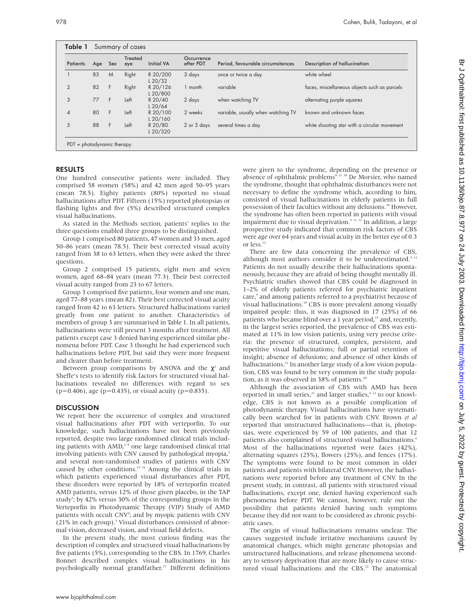| <b>Patients</b> | Age | Sex | <b>Treated</b><br>eye | <b>Initial VA</b>     | Occurrence<br>after PDT | Period, favourable circumstances   | Description of hallucination                 |
|-----------------|-----|-----|-----------------------|-----------------------|-------------------------|------------------------------------|----------------------------------------------|
|                 | 83  | M   | Right                 | R 20/200<br>$L$ 20/32 | 3 days                  | once or twice a day                | white wheel                                  |
| $\overline{2}$  | 82  | F   | Right                 | R 20/126<br>L 20/800  | 1 month                 | variable                           | faces, miscellaneous objects such as parcels |
| 3               | 77  | F   | Left                  | R 20/40<br>$L$ 20/64  | 2 days                  | when watching TV                   | alternating purple squares                   |
| $\overline{4}$  | 80  | F   | Left                  | R 20/100<br>L20/160   | 2 weeks                 | variable, usually when watching TV | known and unknown faces                      |
| 5               | 88  | F   | Left                  | R 20/80<br>L20/320    | 2 or 3 days             | several times a day                | white shooting star with a circular movement |

#### RESULTS

One hundred consecutive patients were included. They comprised 58 women (58%) and 42 men aged 50–95 years (mean 78.5). Eighty patients (80%) reported no visual hallucinations after PDT. Fifteen (15%) reported photopsias or flashing lights and five (5%) described structured complex visual hallucinations.

As stated in the Methods section, patients' replies to the three questions enabled three groups to be distinguished.

Group 1 comprised 80 patients, 47 women and 33 men, aged 50–86 years (mean 78.5). Their best corrected visual acuity ranged from 38 to 63 letters, when they were asked the three questions.

Group 2 comprised 15 patients, eight men and seven women, aged 68–84 years (mean 77.3). Their best corrected visual acuity ranged from 23 to 67 letters.

Group 3 comprised five patients, four women and one man, aged 77–88 years (mean 82). Their best corrected visual acuity ranged from 42 to 63 letters. Structured hallucinations varied greatly from one patient to another. Characteristics of members of group 3 are summarised in Table 1. In all patients, hallucinations were still present 3 months after treatment. All patients except case 3 denied having experienced similar phenomena before PDT. Case 3 thought he had experienced such hallucinations before PDT, but said they were more frequent and clearer than before treatment.

Between group comparisons by ANOVA and the  $\chi^2$  and Sheffe's tests to identify risk factors for structured visual hallucinations revealed no differences with regard to sex  $(p=0.406)$ , age  $(p=0.435)$ , or visual acuity  $(p=0.835)$ .

#### **DISCUSSION**

We report here the occurrence of complex and structured visual hallucinations after PDT with verteporfin. To our knowledge, such hallucinations have not been previously reported, despite two large randomised clinical trials including patients with  $AMD<sub>i</sub><sup>2-4</sup>$  one large randomised clinical trial involving patients with CNV caused by pathological myopia,<sup>5</sup> and several non-randomised studies of patients with CNV caused by other conditions.15 16 Among the clinical trials in which patients experienced visual disturbances after PDT, these disorders were reported by 18% of verteporfin treated AMD patients, versus 12% of those given placebo, in the TAP study<sup>2</sup>; by 42% versus 30% of the corresponding groups in the Verteporfin in Photodynamic Therapy (VIP) Study of AMD patients with occult CNV<sup>4</sup>; and by myopic patients with CNV (21% in each group).<sup>5</sup> Visual disturbances consisted of abnormal vision, decreased vision, and visual field defects.

In the present study, the most curious finding was the description of complex and structured visual hallucinations by five patients (5%), corresponding to the CBS. In 1769, Charles Bonnet described complex visual hallucinations in his psychologically normal grandfather.<sup>17</sup> Different definitions

were given to the syndrome, depending on the presence or absence of ophthalmic problems<sup>9-13</sup> <sup>18</sup> De Morsier, who named the syndrome, thought that ophthalmic disturbances were not necessary to define the syndrome which, according to him, consisted of visual hallucinations in elderly patients in full possession of their faculties without any delusions.<sup>18</sup> However, the syndrome has often been reported in patients with visual impairment due to visual deprivation.<sup>9 11 12</sup> In addition, a large prospective study indicated that common risk factors of CBS were age over 64 years and visual acuity in the better eye of 0.3 or less.<sup>12</sup>

There are few data concerning the prevalence of CBS, although most authors consider it to be underestimated.<sup>9 13</sup> Patients do not usually describe their hallucinations spontaneously, because they are afraid of being thought mentally ill. Psychiatric studies showed that CBS could be diagnosed in 1–2% of elderly patients referred for psychiatric inpatient care,<sup>9</sup> and among patients referred to a psychiatrist because of visual hallucinations.10 CBS is more prevalent among visually impaired people: thus, it was diagnosed in 17 (25%) of 66 patients who became blind over a 1 year period,<sup>19</sup> and, recently, in the largest series reported, the prevalence of CBS was estimated at 11% in low vision patients, using very precise criteria: the presence of structured, complex, persistent, and repetitive visual hallucinations; full or partial retention of insight; absence of delusions; and absence of other kinds of hallucinations.<sup>12</sup> In another large study of a low vision population, CBS was found to be very common in the study population, as it was observed in 38% of patients.<sup>20</sup>

Although the association of CBS with AMD has been reported in small series,<sup>21</sup> and larger studies,<sup>612</sup> to our knowledge, CBS is not known as a possible complication of photodynamic therapy. Visual hallucinations have systematically been searched for in patients with CNV. Brown *et al* reported that unstructured hallucinations—that is, photopsias, were experienced by 59 of 100 patients, and that 12 patients also complained of structured visual hallucinations.<sup>6</sup> Most of the hallucinations reported were faces (42%), alternating squares (25%), flowers (25%), and fences (17%). The symptoms were found to be most common in older patients and patients with bilateral CNV. However, the hallucinations were reported before any treatment of CNV. In the present study, in contrast, all patients with structured visual hallucinations, except one, denied having experienced such phenomena before PDT. We cannot, however, rule out the possibility that patients denied having such symptoms because they did not want to be considered as chronic psychiatric cases.

The origin of visual hallucinations remains unclear. The causes suggested include irritative mechanisms caused by anatomical changes, which might generate photopsias and unstructured hallucinations, and release phenomena secondary to sensory deprivation that are more likely to cause structured visual hallucinations and the CBS.<sup>22</sup> The anatomical